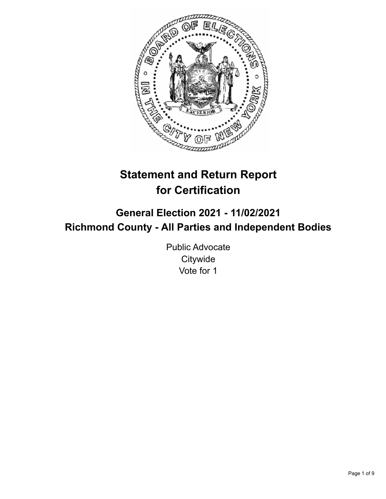

# **Statement and Return Report for Certification**

# **General Election 2021 - 11/02/2021 Richmond County - All Parties and Independent Bodies**

Public Advocate **Citywide** Vote for 1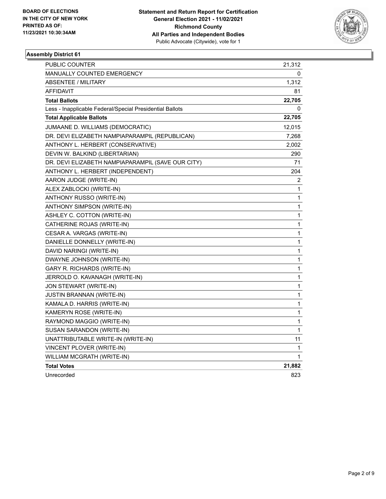

| <b>PUBLIC COUNTER</b>                                    | 21,312 |
|----------------------------------------------------------|--------|
| <b>MANUALLY COUNTED EMERGENCY</b>                        | 0      |
| <b>ABSENTEE / MILITARY</b>                               | 1,312  |
| AFFIDAVIT                                                | 81     |
| <b>Total Ballots</b>                                     | 22,705 |
| Less - Inapplicable Federal/Special Presidential Ballots | 0      |
| <b>Total Applicable Ballots</b>                          | 22,705 |
| JUMAANE D. WILLIAMS (DEMOCRATIC)                         | 12,015 |
| DR. DEVI ELIZABETH NAMPIAPARAMPIL (REPUBLICAN)           | 7,268  |
| ANTHONY L. HERBERT (CONSERVATIVE)                        | 2,002  |
| DEVIN W. BALKIND (LIBERTARIAN)                           | 290    |
| DR. DEVI ELIZABETH NAMPIAPARAMPIL (SAVE OUR CITY)        | 71     |
| ANTHONY L. HERBERT (INDEPENDENT)                         | 204    |
| AARON JUDGE (WRITE-IN)                                   | 2      |
| ALEX ZABLOCKI (WRITE-IN)                                 | 1      |
| ANTHONY RUSSO (WRITE-IN)                                 | 1      |
| ANTHONY SIMPSON (WRITE-IN)                               | 1      |
| ASHLEY C. COTTON (WRITE-IN)                              | 1      |
| CATHERINE ROJAS (WRITE-IN)                               | 1      |
| CESAR A. VARGAS (WRITE-IN)                               | 1      |
| DANIELLE DONNELLY (WRITE-IN)                             | 1      |
| DAVID NARINGI (WRITE-IN)                                 | 1      |
| DWAYNE JOHNSON (WRITE-IN)                                | 1      |
| GARY R. RICHARDS (WRITE-IN)                              | 1      |
| JERROLD O. KAVANAGH (WRITE-IN)                           | 1      |
| JON STEWART (WRITE-IN)                                   | 1      |
| JUSTIN BRANNAN (WRITE-IN)                                | 1      |
| KAMALA D. HARRIS (WRITE-IN)                              | 1      |
| KAMERYN ROSE (WRITE-IN)                                  | 1      |
| RAYMOND MAGGIO (WRITE-IN)                                | 1      |
| SUSAN SARANDON (WRITE-IN)                                | 1      |
| UNATTRIBUTABLE WRITE-IN (WRITE-IN)                       | 11     |
| VINCENT PLOVER (WRITE-IN)                                | 1      |
| WILLIAM MCGRATH (WRITE-IN)                               | 1      |
| <b>Total Votes</b>                                       | 21,882 |
| Unrecorded                                               | 823    |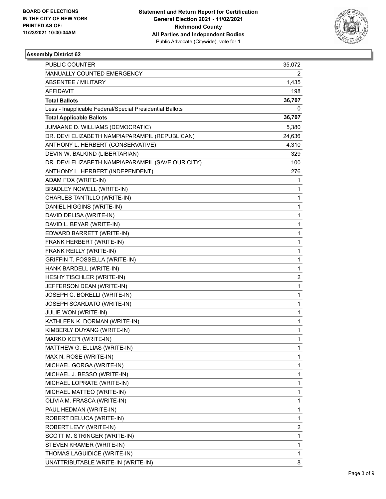

| PUBLIC COUNTER                                           | 35,072                  |
|----------------------------------------------------------|-------------------------|
| MANUALLY COUNTED EMERGENCY                               | 2                       |
| <b>ABSENTEE / MILITARY</b>                               | 1,435                   |
| AFFIDAVIT                                                | 198                     |
| <b>Total Ballots</b>                                     | 36,707                  |
| Less - Inapplicable Federal/Special Presidential Ballots | 0                       |
| <b>Total Applicable Ballots</b>                          | 36,707                  |
| JUMAANE D. WILLIAMS (DEMOCRATIC)                         | 5,380                   |
| DR. DEVI ELIZABETH NAMPIAPARAMPIL (REPUBLICAN)           | 24,636                  |
| ANTHONY L. HERBERT (CONSERVATIVE)                        | 4,310                   |
| DEVIN W. BALKIND (LIBERTARIAN)                           | 329                     |
| DR. DEVI ELIZABETH NAMPIAPARAMPIL (SAVE OUR CITY)        | 100                     |
| ANTHONY L. HERBERT (INDEPENDENT)                         | 276                     |
| ADAM FOX (WRITE-IN)                                      | 1                       |
| BRADLEY NOWELL (WRITE-IN)                                | 1                       |
| CHARLES TANTILLO (WRITE-IN)                              | 1                       |
| DANIEL HIGGINS (WRITE-IN)                                | 1                       |
| DAVID DELISA (WRITE-IN)                                  | 1                       |
| DAVID L. BEYAR (WRITE-IN)                                | 1                       |
| EDWARD BARRETT (WRITE-IN)                                | 1                       |
| FRANK HERBERT (WRITE-IN)                                 | 1                       |
| FRANK REILLY (WRITE-IN)                                  | 1                       |
| GRIFFIN T. FOSSELLA (WRITE-IN)                           | 1                       |
| HANK BARDELL (WRITE-IN)                                  | 1                       |
| HESHY TISCHLER (WRITE-IN)                                | $\overline{\mathbf{c}}$ |
| JEFFERSON DEAN (WRITE-IN)                                | 1                       |
| JOSEPH C. BORELLI (WRITE-IN)                             | 1                       |
| JOSEPH SCARDATO (WRITE-IN)                               | 1                       |
| JULIE WON (WRITE-IN)                                     | 1                       |
| KATHLEEN K. DORMAN (WRITE-IN)                            | 1                       |
| KIMBERLY DUYANG (WRITE-IN)                               | 1                       |
| MARKO KEPI (WRITE-IN)                                    | $\mathbf{1}$            |
| MATTHEW G. ELLIAS (WRITE-IN)                             | 1                       |
| MAX N. ROSE (WRITE-IN)                                   | 1                       |
| MICHAEL GORGA (WRITE-IN)                                 | 1                       |
| MICHAEL J. BESSO (WRITE-IN)                              | 1                       |
| MICHAEL LOPRATE (WRITE-IN)                               | 1                       |
| MICHAEL MATTEO (WRITE-IN)                                | 1                       |
| OLIVIA M. FRASCA (WRITE-IN)                              | 1                       |
| PAUL HEDMAN (WRITE-IN)                                   | 1                       |
| ROBERT DELUCA (WRITE-IN)                                 | 1                       |
| ROBERT LEVY (WRITE-IN)                                   | 2                       |
| SCOTT M. STRINGER (WRITE-IN)                             | 1                       |
| STEVEN KRAMER (WRITE-IN)                                 | 1                       |
| THOMAS LAGUIDICE (WRITE-IN)                              | 1                       |
| UNATTRIBUTABLE WRITE-IN (WRITE-IN)                       | 8                       |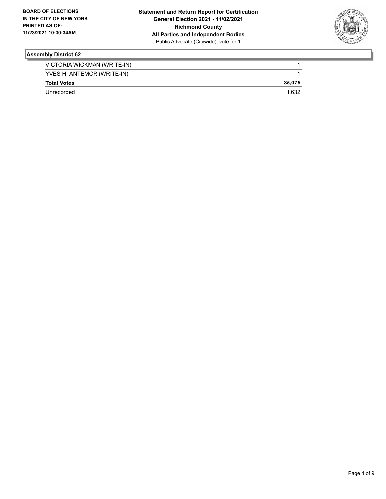

| VICTORIA WICKMAN (WRITE-IN) |        |
|-----------------------------|--------|
| YVES H. ANTEMOR (WRITE-IN)  |        |
| <b>Total Votes</b>          | 35.075 |
| Unrecorded                  | 1.632  |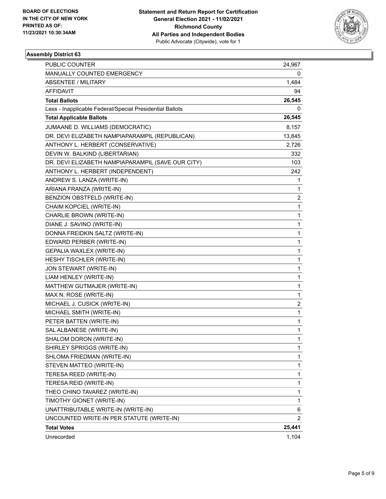

| <b>PUBLIC COUNTER</b>                                    | 24,967 |
|----------------------------------------------------------|--------|
| MANUALLY COUNTED EMERGENCY                               | 0      |
| <b>ABSENTEE / MILITARY</b>                               | 1,484  |
| AFFIDAVIT                                                | 94     |
| <b>Total Ballots</b>                                     | 26,545 |
| Less - Inapplicable Federal/Special Presidential Ballots | 0      |
| <b>Total Applicable Ballots</b>                          | 26,545 |
| JUMAANE D. WILLIAMS (DEMOCRATIC)                         | 8,157  |
| DR. DEVI ELIZABETH NAMPIAPARAMPIL (REPUBLICAN)           | 13,845 |
| ANTHONY L. HERBERT (CONSERVATIVE)                        | 2,726  |
| DEVIN W. BALKIND (LIBERTARIAN)                           | 332    |
| DR. DEVI ELIZABETH NAMPIAPARAMPIL (SAVE OUR CITY)        | 103    |
| ANTHONY L. HERBERT (INDEPENDENT)                         | 242    |
| ANDREW S. LANZA (WRITE-IN)                               | 1      |
| ARIANA FRANZA (WRITE-IN)                                 | 1      |
| BENZION OBSTFELD (WRITE-IN)                              | 2      |
| CHAIM KOPCIEL (WRITE-IN)                                 | 1      |
| CHARLIE BROWN (WRITE-IN)                                 | 1      |
| DIANE J. SAVINO (WRITE-IN)                               | 1      |
| DONNA FREIDKIN SALTZ (WRITE-IN)                          | 1      |
| EDWARD PERBER (WRITE-IN)                                 | 1      |
| GEPALIA WAXLEX (WRITE-IN)                                | 1      |
| HESHY TISCHLER (WRITE-IN)                                | 1      |
| JON STEWART (WRITE-IN)                                   | 1      |
| LIAM HENLEY (WRITE-IN)                                   | 1      |
| MATTHEW GUTMAJER (WRITE-IN)                              | 1      |
| MAX N. ROSE (WRITE-IN)                                   | 1      |
| MICHAEL J. CUSICK (WRITE-IN)                             | 2      |
| MICHAEL SMITH (WRITE-IN)                                 | 1      |
| PETER BATTEN (WRITE-IN)                                  | 1      |
| SAL ALBANESE (WRITE-IN)                                  | 1      |
| SHALOM DORON (WRITE-IN)                                  | 1      |
| SHIRLEY SPRIGGS (WRITE-IN)                               | 1      |
| SHLOMA FRIEDMAN (WRITE-IN)                               | 1      |
| STEVEN MATTEO (WRITE-IN)                                 | 1      |
| TERESA REED (WRITE-IN)                                   | 1      |
| TERESA REID (WRITE-IN)                                   | 1      |
| THEO CHINO TAVAREZ (WRITE-IN)                            | 1      |
| TIMOTHY GIONET (WRITE-IN)                                | 1      |
| UNATTRIBUTABLE WRITE-IN (WRITE-IN)                       | 6      |
| UNCOUNTED WRITE-IN PER STATUTE (WRITE-IN)                | 2      |
| <b>Total Votes</b>                                       | 25,441 |
| Unrecorded                                               | 1,104  |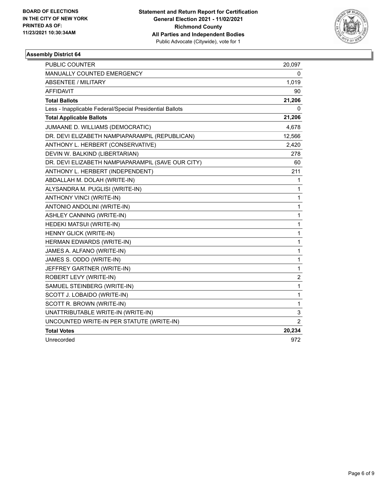

| PUBLIC COUNTER                                           | 20,097                |
|----------------------------------------------------------|-----------------------|
| MANUALLY COUNTED EMERGENCY                               | 0                     |
| <b>ABSENTEE / MILITARY</b>                               | 1,019                 |
| AFFIDAVIT                                                | 90                    |
| <b>Total Ballots</b>                                     | 21,206                |
| Less - Inapplicable Federal/Special Presidential Ballots | 0                     |
| <b>Total Applicable Ballots</b>                          | 21,206                |
| JUMAANE D. WILLIAMS (DEMOCRATIC)                         | 4,678                 |
| DR. DEVI ELIZABETH NAMPIAPARAMPIL (REPUBLICAN)           | 12,566                |
| ANTHONY L. HERBERT (CONSERVATIVE)                        | 2,420                 |
| DEVIN W. BALKIND (LIBERTARIAN)                           | 278                   |
| DR. DEVI ELIZABETH NAMPIAPARAMPIL (SAVE OUR CITY)        | 60                    |
| ANTHONY L. HERBERT (INDEPENDENT)                         | 211                   |
| ABDALLAH M. DOLAH (WRITE-IN)                             | 1                     |
| ALYSANDRA M. PUGLISI (WRITE-IN)                          | 1                     |
| ANTHONY VINCI (WRITE-IN)                                 | 1                     |
| ANTONIO ANDOLINI (WRITE-IN)                              | 1                     |
| ASHLEY CANNING (WRITE-IN)                                | 1                     |
| HEDEKI MATSUI (WRITE-IN)                                 | 1                     |
| HENNY GLICK (WRITE-IN)                                   | 1                     |
| HERMAN EDWARDS (WRITE-IN)                                | 1                     |
| JAMES A. ALFANO (WRITE-IN)                               | 1                     |
| JAMES S. ODDO (WRITE-IN)                                 | 1                     |
| JEFFREY GARTNER (WRITE-IN)                               | 1                     |
| ROBERT LEVY (WRITE-IN)                                   | $\overline{c}$        |
| SAMUEL STEINBERG (WRITE-IN)                              | 1                     |
| SCOTT J. LOBAIDO (WRITE-IN)                              | 1                     |
| SCOTT R. BROWN (WRITE-IN)                                | 1                     |
| UNATTRIBUTABLE WRITE-IN (WRITE-IN)                       | 3                     |
| UNCOUNTED WRITE-IN PER STATUTE (WRITE-IN)                | $\mathbf{2}^{\prime}$ |
| <b>Total Votes</b>                                       | 20,234                |
| Unrecorded                                               | 972                   |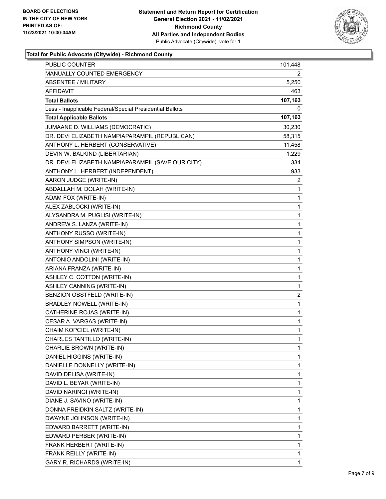

# **Total for Public Advocate (Citywide) - Richmond County**

| PUBLIC COUNTER                                           | 101,448                 |
|----------------------------------------------------------|-------------------------|
| MANUALLY COUNTED EMERGENCY                               | 2                       |
| <b>ABSENTEE / MILITARY</b>                               | 5,250                   |
| AFFIDAVIT                                                | 463                     |
| <b>Total Ballots</b>                                     | 107,163                 |
| Less - Inapplicable Federal/Special Presidential Ballots | 0                       |
| <b>Total Applicable Ballots</b>                          | 107,163                 |
| JUMAANE D. WILLIAMS (DEMOCRATIC)                         | 30,230                  |
| DR. DEVI ELIZABETH NAMPIAPARAMPIL (REPUBLICAN)           | 58,315                  |
| ANTHONY L. HERBERT (CONSERVATIVE)                        | 11,458                  |
| DEVIN W. BALKIND (LIBERTARIAN)                           | 1,229                   |
| DR. DEVI ELIZABETH NAMPIAPARAMPIL (SAVE OUR CITY)        | 334                     |
| ANTHONY L. HERBERT (INDEPENDENT)                         | 933                     |
| AARON JUDGE (WRITE-IN)                                   | $\overline{2}$          |
| ABDALLAH M. DOLAH (WRITE-IN)                             | 1                       |
| ADAM FOX (WRITE-IN)                                      | $\mathbf{1}$            |
| ALEX ZABLOCKI (WRITE-IN)                                 | 1                       |
| ALYSANDRA M. PUGLISI (WRITE-IN)                          | 1                       |
| ANDREW S. LANZA (WRITE-IN)                               | $\mathbf{1}$            |
| ANTHONY RUSSO (WRITE-IN)                                 | $\mathbf 1$             |
| ANTHONY SIMPSON (WRITE-IN)                               | $\mathbf 1$             |
| ANTHONY VINCI (WRITE-IN)                                 | $\mathbf 1$             |
| ANTONIO ANDOLINI (WRITE-IN)                              | 1                       |
| ARIANA FRANZA (WRITE-IN)                                 | 1                       |
| ASHLEY C. COTTON (WRITE-IN)                              | $\mathbf{1}$            |
| ASHLEY CANNING (WRITE-IN)                                | $\mathbf{1}$            |
| BENZION OBSTFELD (WRITE-IN)                              | $\overline{\mathbf{c}}$ |
| BRADLEY NOWELL (WRITE-IN)                                | $\mathbf 1$             |
| CATHERINE ROJAS (WRITE-IN)                               | 1                       |
| CESAR A. VARGAS (WRITE-IN)                               | 1                       |
| CHAIM KOPCIEL (WRITE-IN)                                 | $\mathbf{1}$            |
| CHARLES TANTILLO (WRITE-IN)                              | $\mathbf{1}$            |
| CHARLIE BROWN (WRITE-IN)                                 | 1                       |
| DANIEL HIGGINS (WRITE-IN)                                | 1                       |
| DANIELLE DONNELLY (WRITE-IN)                             | 1                       |
| DAVID DELISA (WRITE-IN)                                  | 1                       |
| DAVID L. BEYAR (WRITE-IN)                                | 1                       |
| DAVID NARINGI (WRITE-IN)                                 | 1                       |
| DIANE J. SAVINO (WRITE-IN)                               | 1                       |
| DONNA FREIDKIN SALTZ (WRITE-IN)                          | 1                       |
| DWAYNE JOHNSON (WRITE-IN)                                | 1                       |
| EDWARD BARRETT (WRITE-IN)                                | 1                       |
| EDWARD PERBER (WRITE-IN)                                 | 1                       |
| FRANK HERBERT (WRITE-IN)                                 | 1                       |
| FRANK REILLY (WRITE-IN)                                  | 1                       |
| GARY R. RICHARDS (WRITE-IN)                              | $\mathbf{1}$            |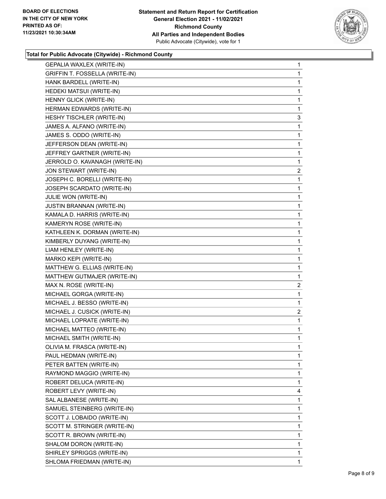

# **Total for Public Advocate (Citywide) - Richmond County**

| GEPALIA WAXLEX (WRITE-IN)             | 1                       |
|---------------------------------------|-------------------------|
| <b>GRIFFIN T. FOSSELLA (WRITE-IN)</b> | 1                       |
| HANK BARDELL (WRITE-IN)               | 1                       |
| HEDEKI MATSUI (WRITE-IN)              | 1                       |
| HENNY GLICK (WRITE-IN)                | 1                       |
| HERMAN EDWARDS (WRITE-IN)             | 1                       |
| HESHY TISCHLER (WRITE-IN)             | 3                       |
| JAMES A. ALFANO (WRITE-IN)            | 1                       |
| JAMES S. ODDO (WRITE-IN)              | 1                       |
| JEFFERSON DEAN (WRITE-IN)             | 1                       |
| JEFFREY GARTNER (WRITE-IN)            | 1                       |
| JERROLD O. KAVANAGH (WRITE-IN)        | 1                       |
| JON STEWART (WRITE-IN)                | $\overline{2}$          |
| JOSEPH C. BORELLI (WRITE-IN)          | 1                       |
| JOSEPH SCARDATO (WRITE-IN)            | 1                       |
| JULIE WON (WRITE-IN)                  | 1                       |
| JUSTIN BRANNAN (WRITE-IN)             | 1                       |
| KAMALA D. HARRIS (WRITE-IN)           | 1                       |
| KAMERYN ROSE (WRITE-IN)               | 1                       |
| KATHLEEN K. DORMAN (WRITE-IN)         | 1                       |
| KIMBERLY DUYANG (WRITE-IN)            | 1                       |
| LIAM HENLEY (WRITE-IN)                | 1                       |
| MARKO KEPI (WRITE-IN)                 | 1                       |
| MATTHEW G. ELLIAS (WRITE-IN)          | 1                       |
| MATTHEW GUTMAJER (WRITE-IN)           | 1                       |
| MAX N. ROSE (WRITE-IN)                | $\overline{a}$          |
| MICHAEL GORGA (WRITE-IN)              | 1                       |
| MICHAEL J. BESSO (WRITE-IN)           | 1                       |
| MICHAEL J. CUSICK (WRITE-IN)          | $\overline{\mathbf{c}}$ |
| MICHAEL LOPRATE (WRITE-IN)            | 1                       |
| MICHAEL MATTEO (WRITE-IN)             | 1                       |
| MICHAEL SMITH (WRITE-IN)              | 1                       |
| OLIVIA M. FRASCA (WRITE-IN)           | 1                       |
| PAUL HEDMAN (WRITE-IN)                | 1.                      |
| PETER BATTEN (WRITE-IN)               | 1                       |
|                                       | 1                       |
| RAYMOND MAGGIO (WRITE-IN)             |                         |
| ROBERT DELUCA (WRITE-IN)              | 1                       |
| ROBERT LEVY (WRITE-IN)                | 4                       |
| SAL ALBANESE (WRITE-IN)               | 1                       |
| SAMUEL STEINBERG (WRITE-IN)           | 1                       |
| SCOTT J. LOBAIDO (WRITE-IN)           | 1                       |
| SCOTT M. STRINGER (WRITE-IN)          | 1                       |
| SCOTT R. BROWN (WRITE-IN)             | 1                       |
| SHALOM DORON (WRITE-IN)               | 1                       |
| SHIRLEY SPRIGGS (WRITE-IN)            | 1                       |